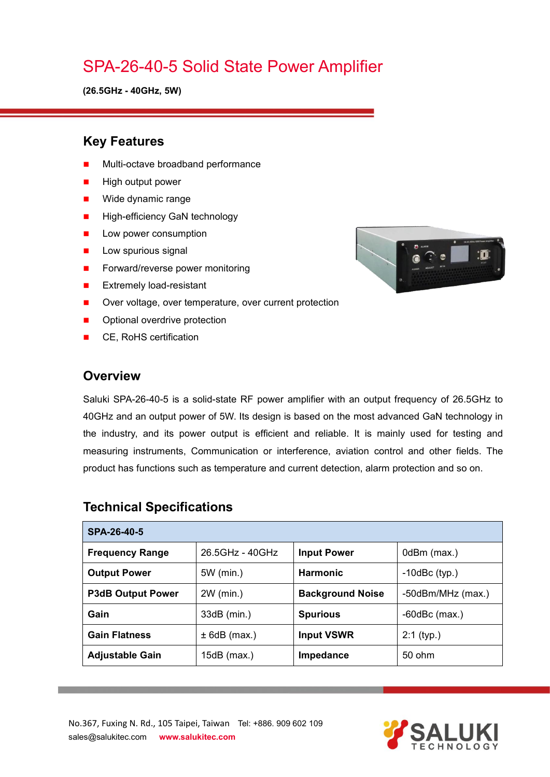# SPA-26-40-5 Solid State Power Amplifier

**(26.5GHz - 40GHz, 5W)**

#### **Key Features**

- Multi-octave broadband performance
- High output power
- **Nide dynamic range**
- **High-efficiency GaN technology**
- **Low power consumption**
- $\blacksquare$  Low spurious signal
- Forward/reverse power monitoring
- **EXtremely load-resistant**
- Over voltage, over temperature, over current protection
- Optional overdrive protection
- CE, RoHS certification

### **Overview**

Saluki SPA-26-40-5 is a solid-state RF power amplifier with an output frequency of 26.5GHz to 40GHz and an output power of 5W. Its design is based on the most advanced GaN technology in the industry, and its power output is efficient and reliable. It is mainly used for testing and measuring instruments, Communication or interference, aviation control and other fields. The product has functions such as temperature and current detection, alarm protection and so on.

| SPA-26-40-5              |                 |                         |                    |
|--------------------------|-----------------|-------------------------|--------------------|
| <b>Frequency Range</b>   | 26.5GHz - 40GHz | <b>Input Power</b>      | 0dBm (max.)        |
| <b>Output Power</b>      | 5W (min.)       | <b>Harmonic</b>         | $-10$ dBc $(typ.)$ |
| <b>P3dB Output Power</b> | 2W (min.)       | <b>Background Noise</b> | -50dBm/MHz (max.)  |
| Gain                     | $33dB$ (min.)   | <b>Spurious</b>         | $-60$ dBc $(max.)$ |
| <b>Gain Flatness</b>     | $± 6dB$ (max.)  | <b>Input VSWR</b>       | $2:1$ (typ.)       |
| <b>Adjustable Gain</b>   | $15dB$ (max.)   | <b>Impedance</b>        | 50 ohm             |

#### **Technical Specifications**